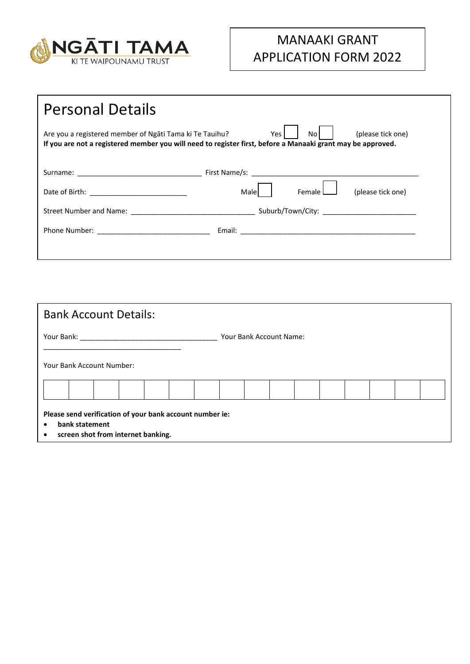

## MANAAKI GRANT APPLICATION FORM 2022

| <b>Personal Details</b>                                 |                                                                                                                                                 |
|---------------------------------------------------------|-------------------------------------------------------------------------------------------------------------------------------------------------|
| Are you a registered member of Ngati Tama ki Te Tauihu? | No<br>(please tick one)<br>Yes l<br>If you are not a registered member you will need to register first, before a Manaaki grant may be approved. |
|                                                         |                                                                                                                                                 |
|                                                         | Female L<br>(please tick one)<br>Malel                                                                                                          |
|                                                         |                                                                                                                                                 |
|                                                         |                                                                                                                                                 |
|                                                         |                                                                                                                                                 |

| <b>Bank Account Details:</b>                                                       |                                                      |  |                         |  |  |  |  |  |  |  |  |  |  |
|------------------------------------------------------------------------------------|------------------------------------------------------|--|-------------------------|--|--|--|--|--|--|--|--|--|--|
| Your Bank:                                                                         |                                                      |  | Your Bank Account Name: |  |  |  |  |  |  |  |  |  |  |
| Your Bank Account Number:                                                          |                                                      |  |                         |  |  |  |  |  |  |  |  |  |  |
|                                                                                    |                                                      |  |                         |  |  |  |  |  |  |  |  |  |  |
| Please send verification of your bank account number ie:<br>$\bullet$<br>$\bullet$ | bank statement<br>screen shot from internet banking. |  |                         |  |  |  |  |  |  |  |  |  |  |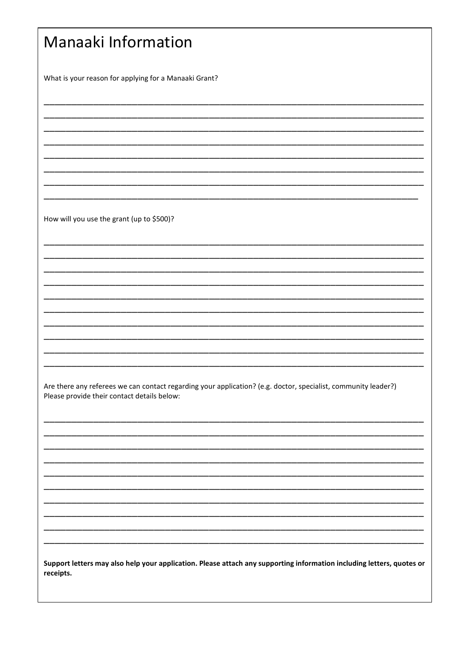| <b>Manaaki Information</b>                                                                                                                                    |  |  |  |  |
|---------------------------------------------------------------------------------------------------------------------------------------------------------------|--|--|--|--|
| What is your reason for applying for a Manaaki Grant?                                                                                                         |  |  |  |  |
|                                                                                                                                                               |  |  |  |  |
|                                                                                                                                                               |  |  |  |  |
|                                                                                                                                                               |  |  |  |  |
| How will you use the grant (up to \$500)?                                                                                                                     |  |  |  |  |
|                                                                                                                                                               |  |  |  |  |
|                                                                                                                                                               |  |  |  |  |
|                                                                                                                                                               |  |  |  |  |
|                                                                                                                                                               |  |  |  |  |
|                                                                                                                                                               |  |  |  |  |
| Are there any referees we can contact regarding your application? (e.g. doctor, specialist, community leader?)<br>Please provide their contact details below: |  |  |  |  |
|                                                                                                                                                               |  |  |  |  |
|                                                                                                                                                               |  |  |  |  |
|                                                                                                                                                               |  |  |  |  |
|                                                                                                                                                               |  |  |  |  |
| Support letters may also help your application. Please attach any supporting information including letters, quotes or<br>receipts.                            |  |  |  |  |